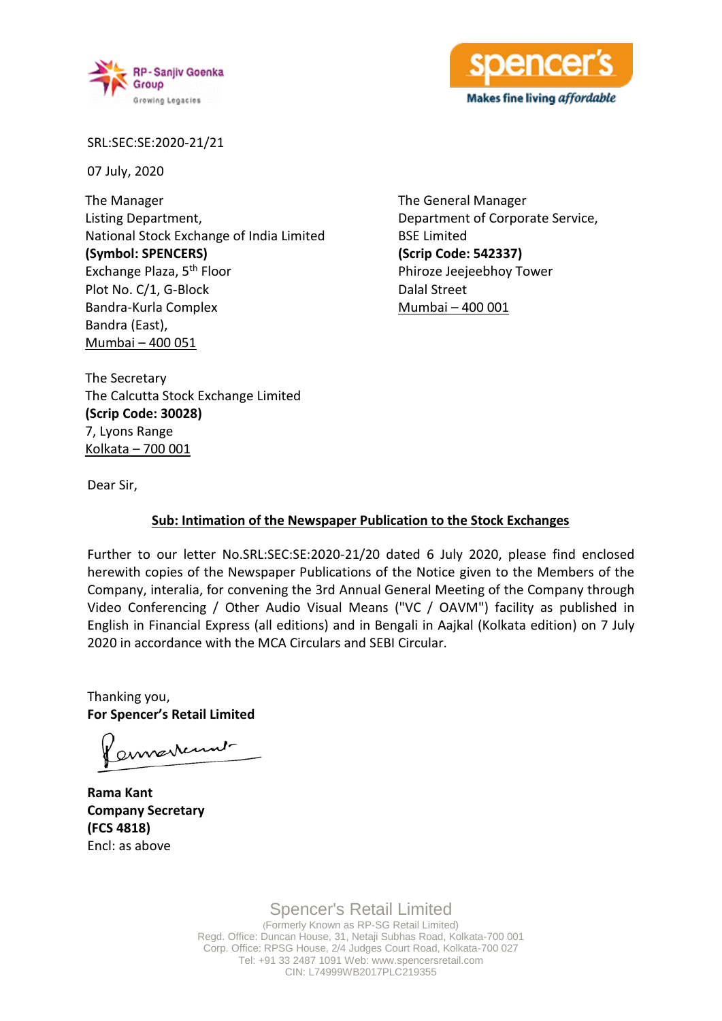



SRL:SEC:SE:2020-21/21

07 July, 2020

The Manager Listing Department, National Stock Exchange of India Limited **(Symbol: SPENCERS)** Exchange Plaza, 5th Floor Plot No. C/1, G-Block Bandra-Kurla Complex Bandra (East), Mumbai – 400 051

The General Manager Department of Corporate Service, BSE Limited **(Scrip Code: 542337)** Phiroze Jeejeebhoy Tower Dalal Street Mumbai – 400 001

The Secretary The Calcutta Stock Exchange Limited **(Scrip Code: 30028)** 7, Lyons Range Kolkata – 700 001

Dear Sir,

# **Sub: Intimation of the Newspaper Publication to the Stock Exchanges**

Further to our letter No.SRL:SEC:SE:2020-21/20 dated 6 July 2020, please find enclosed herewith copies of the Newspaper Publications of the Notice given to the Members of the Company, interalia, for convening the 3rd Annual General Meeting of the Company through Video Conferencing / Other Audio Visual Means ("VC / OAVM") facility as published in English in Financial Express (all editions) and in Bengali in Aajkal (Kolkata edition) on 7 July 2020 in accordance with the MCA Circulars and SEBI Circular.

Thanking you, **For Spencer's Retail Limited**

ennerkunt

**Rama Kant Company Secretary (FCS 4818)** Encl: as above

Spencer's Retail Limited (Formerly Known as RP-SG Retail Limited) Regd. Office: Duncan House, 31, Netaji Subhas Road, Kolkata-700 001 Corp. Office: RPSG House, 2/4 Judges Court Road, Kolkata-700 027 Tel: +91 33 2487 1091 Web: www.spencersretail.com CIN: L74999WB2017PLC219355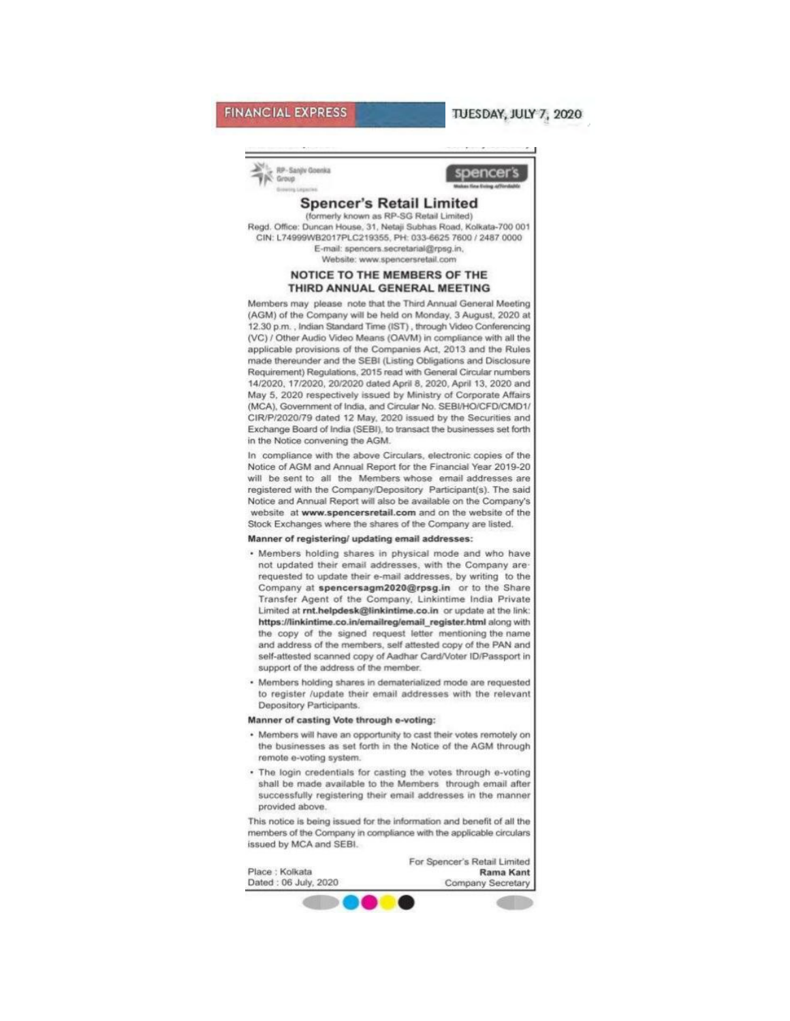## **FINANCIAL EXPRESS**

### TUESDAY, JULY 7, 2020

RP-Sanily Goenka Group



### **Spencer's Retail Limited**

(formerly known as RP-SG Retail Limited) Regd. Office: Duncan House, 31, Netaji Subhas Road, Kolkata-700 001 CIN: L74999WB2017PLC219355, PH: 033-6625 7600 / 2487 0000 E-mail: spencers.secretarial@rpsg.in, Website: www.spencersretail.com

#### NOTICE TO THE MEMBERS OF THE THIRD ANNUAL GENERAL MEETING

Members may please note that the Third Annual General Meeting (AGM) of the Company will be held on Monday, 3 August, 2020 at 12.30 p.m., Indian Standard Time (IST), through Video Conferencing (VC) / Other Audio Video Means (OAVM) in compliance with all the applicable provisions of the Companies Act, 2013 and the Rules made thereunder and the SEBI (Listing Obligations and Disclosure Requirement) Regulations, 2015 read with General Circular numbers 14/2020, 17/2020, 20/2020 dated April 8, 2020, April 13, 2020 and May 5, 2020 respectively issued by Ministry of Corporate Affairs (MCA), Government of India, and Circular No. SEBI/HO/CFD/CMD1/ CIR/P/2020/79 dated 12 May, 2020 issued by the Securities and Exchange Board of India (SEBI), to transact the businesses set forth in the Notice convening the AGM.

In compliance with the above Circulars, electronic copies of the Notice of AGM and Annual Report for the Financial Year 2019-20 will be sent to all the Members whose email addresses are registered with the Company/Depository Participant(s). The said Notice and Annual Report will also be available on the Company's website at www.spencersretail.com and on the website of the Stock Exchanges where the shares of the Company are listed.

#### Manner of registering/ updating email addresses:

- . Members holding shares in physical mode and who have not updated their email addresses, with the Company arerequested to update their e-mail addresses, by writing to the Company at spencersagm2020@rpsg.in or to the Share Transfer Agent of the Company, Linkintime India Private Limited at rnt.helpdesk@linkintime.co.in or update at the link: https://linkintime.co.in/emailreg/email\_register.html along with the copy of the signed request letter mentioning the name and address of the members, self attested copy of the PAN and self-attested scanned copy of Aadhar Card/Voter ID/Passport in support of the address of the member.
- · Members holding shares in dematerialized mode are requested to register /update their email addresses with the relevant Depository Participants.

#### Manner of casting Vote through e-voting:

- · Members will have an opportunity to cast their votes remotely on the businesses as set forth in the Notice of the AGM through remote e-voting system.
- . The login credentials for casting the votes through e-voting shall be made available to the Members through email after successfully registering their email addresses in the manner provided above.

This notice is being issued for the information and benefit of all the members of the Company in compliance with the applicable circulars issued by MCA and SEBI.